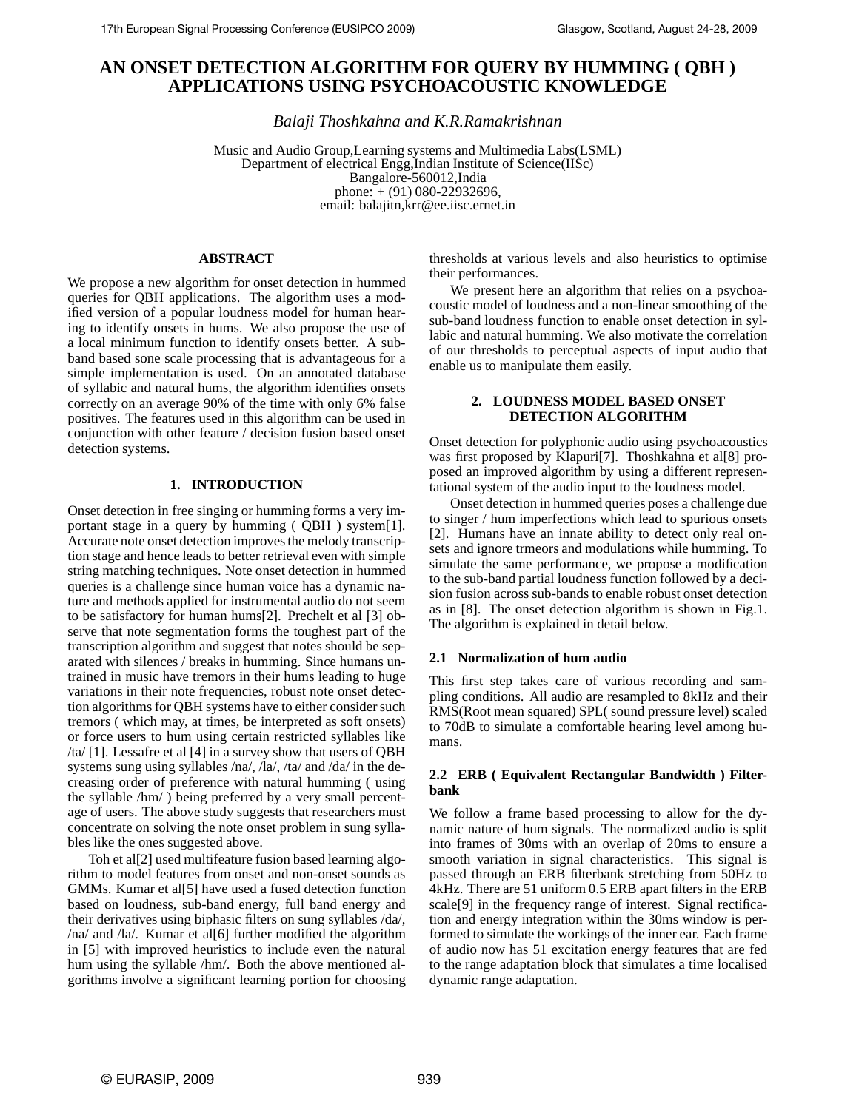# **AN ONSET DETECTION ALGORITHM FOR QUERY BY HUMMING ( QBH ) APPLICATIONS USING PSYCHOACOUSTIC KNOWLEDGE**

*Balaji Thoshkahna and K.R.Ramakrishnan*

Music and Audio Group,Learning systems and Multimedia Labs(LSML) Department of electrical Engg,Indian Institute of Science(IISc) Bangalore-560012,India phone: + (91) 080-22932696, email: balajitn,krr@ee.iisc.ernet.in

# **ABSTRACT**

We propose a new algorithm for onset detection in hummed queries for QBH applications. The algorithm uses a modified version of a popular loudness model for human hearing to identify onsets in hums. We also propose the use of a local minimum function to identify onsets better. A subband based sone scale processing that is advantageous for a simple implementation is used. On an annotated database of syllabic and natural hums, the algorithm identifies onsets correctly on an average 90% of the time with only 6% false positives. The features used in this algorithm can be used in conjunction with other feature / decision fusion based onset detection systems.

# **1. INTRODUCTION**

Onset detection in free singing or humming forms a very important stage in a query by humming ( QBH ) system[1]. Accurate note onset detection improves the melody transcription stage and hence leads to better retrieval even with simple string matching techniques. Note onset detection in hummed queries is a challenge since human voice has a dynamic nature and methods applied for instrumental audio do not seem to be satisfactory for human hums[2]. Prechelt et al [3] observe that note segmentation forms the toughest part of the transcription algorithm and suggest that notes should be separated with silences / breaks in humming. Since humans untrained in music have tremors in their hums leading to huge variations in their note frequencies, robust note onset detection algorithms for QBH systems have to either consider such tremors ( which may, at times, be interpreted as soft onsets) or force users to hum using certain restricted syllables like /ta/ [1]. Lessafre et al [4] in a survey show that users of QBH systems sung using syllables /na/, /la/, /ta/ and /da/ in the decreasing order of preference with natural humming ( using the syllable /hm/ ) being preferred by a very small percentage of users. The above study suggests that researchers must concentrate on solving the note onset problem in sung syllables like the ones suggested above.

Toh et al[2] used multifeature fusion based learning algorithm to model features from onset and non-onset sounds as GMMs. Kumar et al[5] have used a fused detection function based on loudness, sub-band energy, full band energy and their derivatives using biphasic filters on sung syllables /da/, /na/ and /la/. Kumar et al[6] further modified the algorithm in [5] with improved heuristics to include even the natural hum using the syllable /hm/. Both the above mentioned algorithms involve a significant learning portion for choosing

thresholds at various levels and also heuristics to optimise their performances.

We present here an algorithm that relies on a psychoacoustic model of loudness and a non-linear smoothing of the sub-band loudness function to enable onset detection in syllabic and natural humming. We also motivate the correlation of our thresholds to perceptual aspects of input audio that enable us to manipulate them easily.

# **2. LOUDNESS MODEL BASED ONSET DETECTION ALGORITHM**

Onset detection for polyphonic audio using psychoacoustics was first proposed by Klapuri[7]. Thoshkahna et al[8] proposed an improved algorithm by using a different representational system of the audio input to the loudness model.

Onset detection in hummed queries poses a challenge due to singer / hum imperfections which lead to spurious onsets [2]. Humans have an innate ability to detect only real onsets and ignore trmeors and modulations while humming. To simulate the same performance, we propose a modification to the sub-band partial loudness function followed by a decision fusion across sub-bands to enable robust onset detection as in [8]. The onset detection algorithm is shown in Fig.1. The algorithm is explained in detail below.

# **2.1 Normalization of hum audio**

This first step takes care of various recording and sampling conditions. All audio are resampled to 8kHz and their RMS(Root mean squared) SPL( sound pressure level) scaled to 70dB to simulate a comfortable hearing level among humans.

# **2.2 ERB ( Equivalent Rectangular Bandwidth ) Filterbank**

We follow a frame based processing to allow for the dynamic nature of hum signals. The normalized audio is split into frames of 30ms with an overlap of 20ms to ensure a smooth variation in signal characteristics. This signal is passed through an ERB filterbank stretching from 50Hz to 4kHz. There are 51 uniform 0.5 ERB apart filters in the ERB scale[9] in the frequency range of interest. Signal rectification and energy integration within the 30ms window is performed to simulate the workings of the inner ear. Each frame of audio now has 51 excitation energy features that are fed to the range adaptation block that simulates a time localised dynamic range adaptation.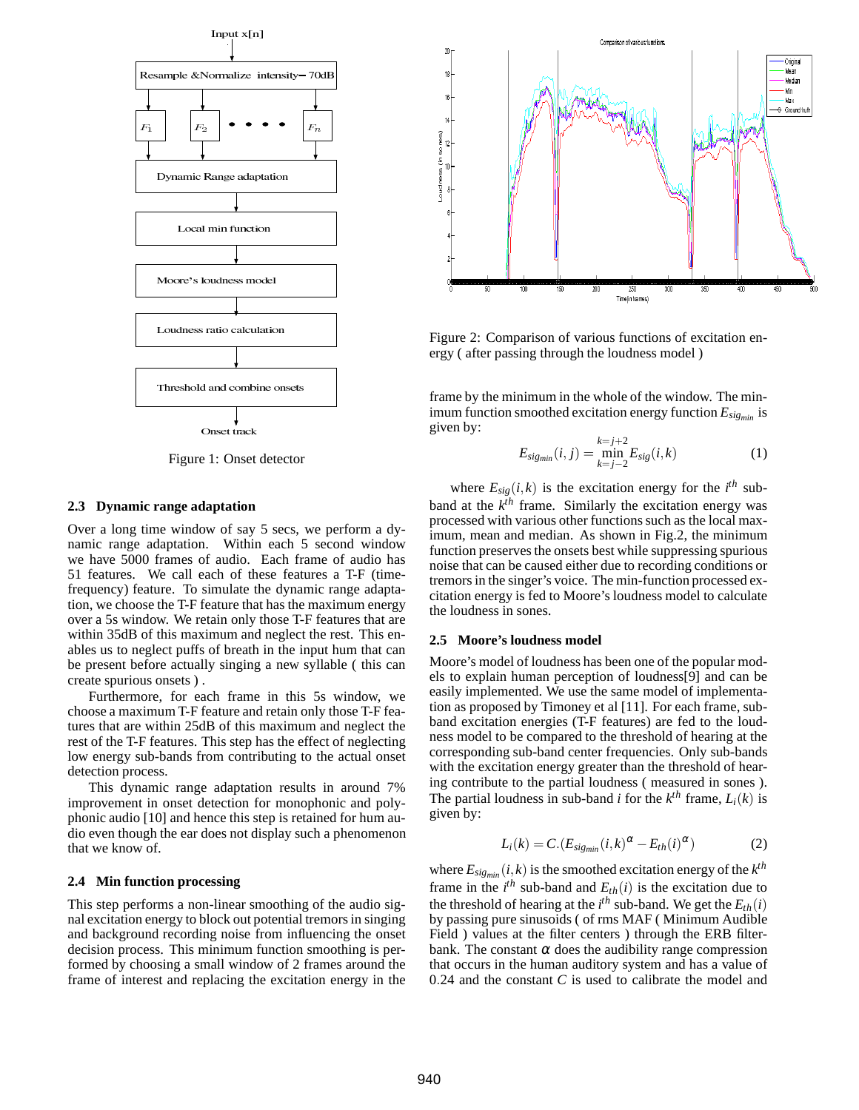

Figure 1: Onset detector

#### **2.3 Dynamic range adaptation**

Over a long time window of say 5 secs, we perform a dynamic range adaptation. Within each 5 second window we have 5000 frames of audio. Each frame of audio has 51 features. We call each of these features a T-F (timefrequency) feature. To simulate the dynamic range adaptation, we choose the T-F feature that has the maximum energy over a 5s window. We retain only those T-F features that are within 35dB of this maximum and neglect the rest. This enables us to neglect puffs of breath in the input hum that can be present before actually singing a new syllable ( this can create spurious onsets ) .

Furthermore, for each frame in this 5s window, we choose a maximum T-F feature and retain only those T-F features that are within 25dB of this maximum and neglect the rest of the T-F features. This step has the effect of neglecting low energy sub-bands from contributing to the actual onset detection process.

This dynamic range adaptation results in around 7% improvement in onset detection for monophonic and polyphonic audio [10] and hence this step is retained for hum audio even though the ear does not display such a phenomenon that we know of.

### **2.4 Min function processing**

This step performs a non-linear smoothing of the audio signal excitation energy to block out potential tremors in singing and background recording noise from influencing the onset decision process. This minimum function smoothing is performed by choosing a small window of 2 frames around the frame of interest and replacing the excitation energy in the



Figure 2: Comparison of various functions of excitation energy ( after passing through the loudness model )

frame by the minimum in the whole of the window. The minimum function smoothed excitation energy function *Esigmin* is given by:

$$
E_{sig_{min}}(i,j) = \min_{k=j-2}^{k=j+2} E_{sig}(i,k)
$$
 (1)

where  $E_{sig}(i,k)$  is the excitation energy for the  $i^{th}$  subband at the *k th* frame. Similarly the excitation energy was processed with various other functions such as the local maximum, mean and median. As shown in Fig.2, the minimum function preserves the onsets best while suppressing spurious noise that can be caused either due to recording conditions or tremors in the singer's voice. The min-function processed excitation energy is fed to Moore's loudness model to calculate the loudness in sones.

#### **2.5 Moore's loudness model**

Moore's model of loudness has been one of the popular models to explain human perception of loudness[9] and can be easily implemented. We use the same model of implementation as proposed by Timoney et al [11]. For each frame, subband excitation energies (T-F features) are fed to the loudness model to be compared to the threshold of hearing at the corresponding sub-band center frequencies. Only sub-bands with the excitation energy greater than the threshold of hearing contribute to the partial loudness ( measured in sones ). The partial loudness in sub-band *i* for the  $k^{th}$  frame,  $L_i(k)$  is given by:

$$
L_i(k) = C.(E_{sig_{min}}(i,k)^{\alpha} - E_{th}(i)^{\alpha})
$$
 (2)

where  $E_{\text{sig}_{\textit{min}}}(i,k)$  is the smoothed excitation energy of the  $k^{th}$ frame in the  $i^{th}$  sub-band and  $E_{th}(i)$  is the excitation due to the threshold of hearing at the  $i^{th}$  sub-band. We get the  $E_{th}(i)$ by passing pure sinusoids ( of rms MAF ( Minimum Audible Field ) values at the filter centers ) through the ERB filterbank. The constant  $\alpha$  does the audibility range compression that occurs in the human auditory system and has a value of 0.24 and the constant *C* is used to calibrate the model and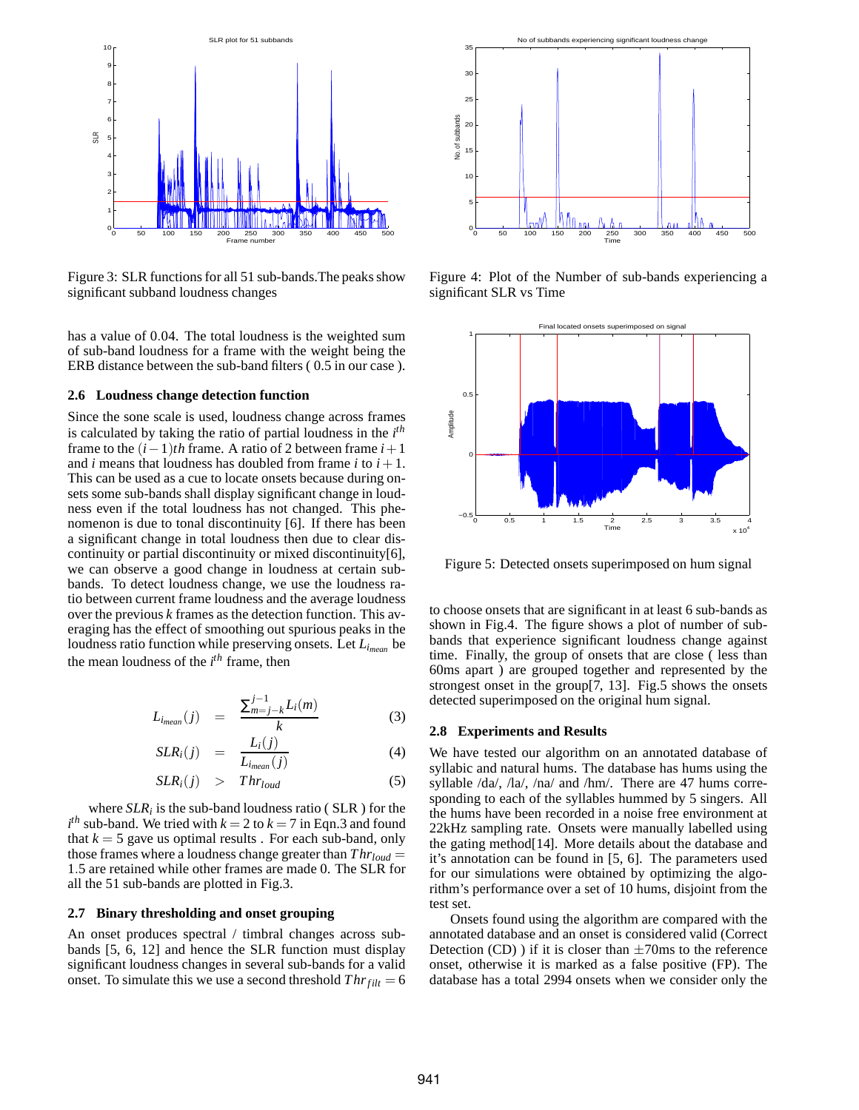

Figure 3: SLR functions for all 51 sub-bands.The peaks show significant subband loudness changes

has a value of 0.04. The total loudness is the weighted sum of sub-band loudness for a frame with the weight being the ERB distance between the sub-band filters ( 0.5 in our case ).

#### **2.6 Loudness change detection function**

Since the sone scale is used, loudness change across frames is calculated by taking the ratio of partial loudness in the *i th* frame to the  $(i-1)$ *th* frame. A ratio of 2 between frame  $i+1$ and *i* means that loudness has doubled from frame *i* to  $i + 1$ . This can be used as a cue to locate onsets because during onsets some sub-bands shall display significant change in loudness even if the total loudness has not changed. This phenomenon is due to tonal discontinuity [6]. If there has been a significant change in total loudness then due to clear discontinuity or partial discontinuity or mixed discontinuity[6], we can observe a good change in loudness at certain subbands. To detect loudness change, we use the loudness ratio between current frame loudness and the average loudness over the previous *k* frames as the detection function. This averaging has the effect of smoothing out spurious peaks in the loudness ratio function while preserving onsets. Let *Limean* be the mean loudness of the *i th* frame, then

$$
L_{i_{mean}}(j) = \frac{\sum_{m=j-k}^{j-1} L_i(m)}{k}
$$
 (3)

$$
SLR_i(j) = \frac{L_i(j)}{L_{i_{mean}}(j)} \tag{4}
$$

$$
SLR_i(j) > Thr_{loud} \tag{5}
$$

where  $SLR_i$  is the sub-band loudness ratio ( $SLR$ ) for the  $i^{th}$  sub-band. We tried with  $k = 2$  to  $k = 7$  in Eqn.3 and found that  $k = 5$  gave us optimal results. For each sub-band, only those frames where a loudness change greater than  $Thr_{loud} =$ 1.5 are retained while other frames are made 0. The SLR for all the 51 sub-bands are plotted in Fig.3.

#### **2.7 Binary thresholding and onset grouping**

An onset produces spectral / timbral changes across subbands [5, 6, 12] and hence the SLR function must display significant loudness changes in several sub-bands for a valid onset. To simulate this we use a second threshold  $Thr_{filt} = 6$ 



Figure 4: Plot of the Number of sub-bands experiencing a significant SLR vs Time



Figure 5: Detected onsets superimposed on hum signal

to choose onsets that are significant in at least 6 sub-bands as shown in Fig.4. The figure shows a plot of number of subbands that experience significant loudness change against time. Finally, the group of onsets that are close ( less than 60ms apart ) are grouped together and represented by the strongest onset in the group[7, 13]. Fig.5 shows the onsets detected superimposed on the original hum signal.

#### **2.8 Experiments and Results**

We have tested our algorithm on an annotated database of syllabic and natural hums. The database has hums using the syllable /da/, /la/, /na/ and /hm/. There are 47 hums corresponding to each of the syllables hummed by 5 singers. All the hums have been recorded in a noise free environment at 22kHz sampling rate. Onsets were manually labelled using the gating method[14]. More details about the database and it's annotation can be found in [5, 6]. The parameters used for our simulations were obtained by optimizing the algorithm's performance over a set of 10 hums, disjoint from the test set.

Onsets found using the algorithm are compared with the annotated database and an onset is considered valid (Correct Detection (CD)) if it is closer than  $\pm$ 70ms to the reference onset, otherwise it is marked as a false positive (FP). The database has a total 2994 onsets when we consider only the